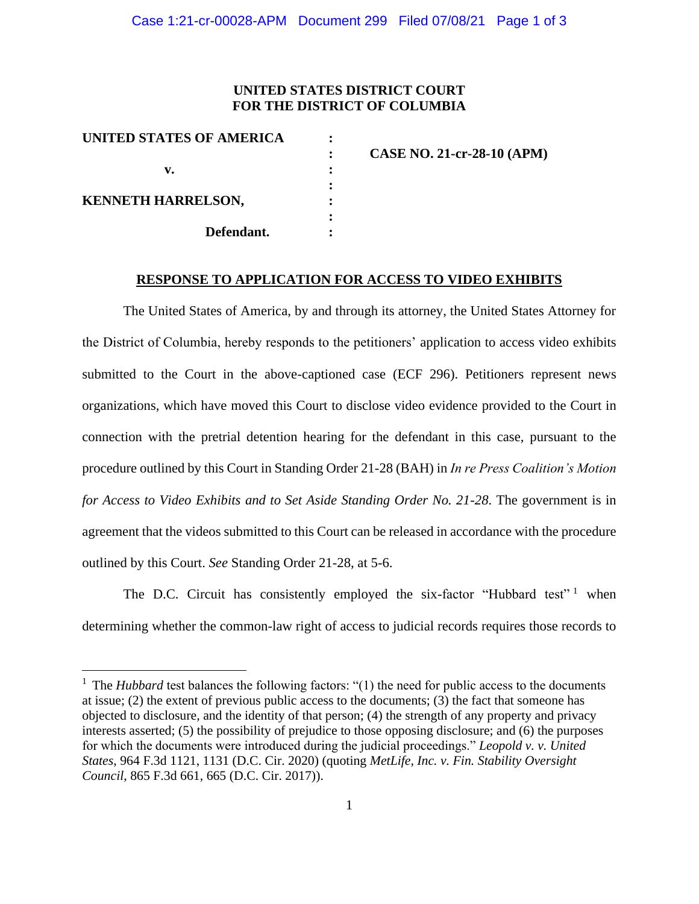## **UNITED STATES DISTRICT COURT FOR THE DISTRICT OF COLUMBIA**

| UNITED STATES OF AMERICA  |                                   |
|---------------------------|-----------------------------------|
|                           | <b>CASE NO. 21-cr-28-10 (APM)</b> |
|                           |                                   |
| <b>KENNETH HARRELSON,</b> |                                   |
| Defendant.                |                                   |
|                           |                                   |

## **RESPONSE TO APPLICATION FOR ACCESS TO VIDEO EXHIBITS**

The United States of America, by and through its attorney, the United States Attorney for the District of Columbia, hereby responds to the petitioners' application to access video exhibits submitted to the Court in the above-captioned case (ECF 296). Petitioners represent news organizations, which have moved this Court to disclose video evidence provided to the Court in connection with the pretrial detention hearing for the defendant in this case, pursuant to the procedure outlined by this Court in Standing Order 21-28 (BAH) in *In re Press Coalition's Motion for Access to Video Exhibits and to Set Aside Standing Order No. 21-28*. The government is in agreement that the videos submitted to this Court can be released in accordance with the procedure outlined by this Court. *See* Standing Order 21-28, at 5-6.

The D.C. Circuit has consistently employed the six-factor "Hubbard test"<sup>1</sup> when determining whether the common-law right of access to judicial records requires those records to

<sup>&</sup>lt;sup>1</sup> The *Hubbard* test balances the following factors: "(1) the need for public access to the documents at issue; (2) the extent of previous public access to the documents; (3) the fact that someone has objected to disclosure, and the identity of that person; (4) the strength of any property and privacy interests asserted; (5) the possibility of prejudice to those opposing disclosure; and (6) the purposes for which the documents were introduced during the judicial proceedings." *Leopold v. v. United States*, 964 F.3d 1121, 1131 (D.C. Cir. 2020) (quoting *MetLife, Inc. v. Fin. Stability Oversight Council*, 865 F.3d 661, 665 (D.C. Cir. 2017)).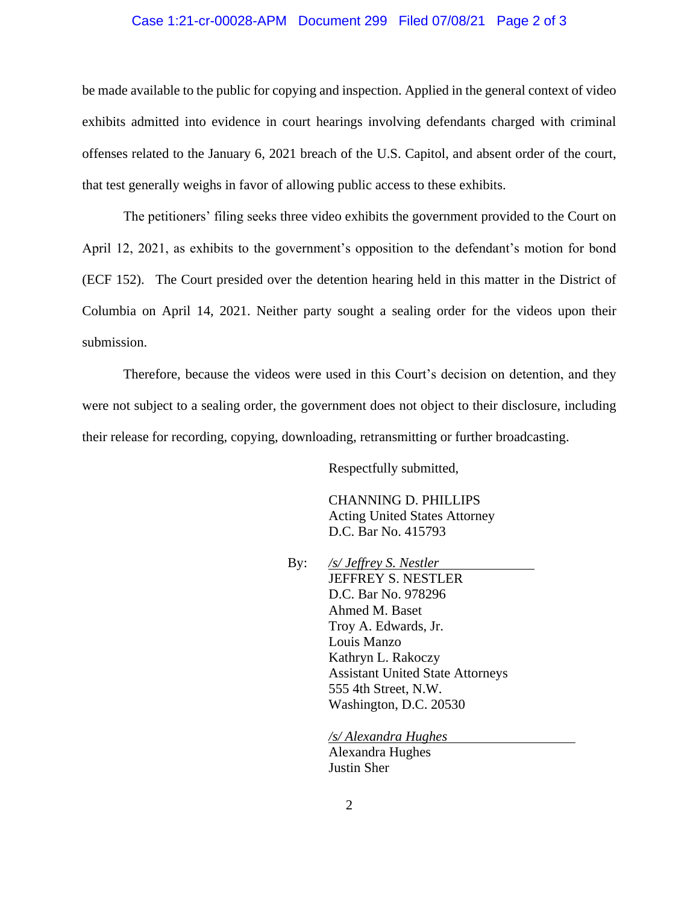## Case 1:21-cr-00028-APM Document 299 Filed 07/08/21 Page 2 of 3

be made available to the public for copying and inspection. Applied in the general context of video exhibits admitted into evidence in court hearings involving defendants charged with criminal offenses related to the January 6, 2021 breach of the U.S. Capitol, and absent order of the court, that test generally weighs in favor of allowing public access to these exhibits.

The petitioners' filing seeks three video exhibits the government provided to the Court on April 12, 2021, as exhibits to the government's opposition to the defendant's motion for bond (ECF 152). The Court presided over the detention hearing held in this matter in the District of Columbia on April 14, 2021. Neither party sought a sealing order for the videos upon their submission.

Therefore, because the videos were used in this Court's decision on detention, and they were not subject to a sealing order, the government does not object to their disclosure, including their release for recording, copying, downloading, retransmitting or further broadcasting.

Respectfully submitted,

CHANNING D. PHILLIPS Acting United States Attorney D.C. Bar No. 415793

By: */s/ Jeffrey S. Nestler* JEFFREY S. NESTLER D.C. Bar No. 978296 Ahmed M. Baset Troy A. Edwards, Jr. Louis Manzo Kathryn L. Rakoczy Assistant United State Attorneys 555 4th Street, N.W. Washington, D.C. 20530

> */s/ Alexandra Hughes*  Alexandra Hughes Justin Sher